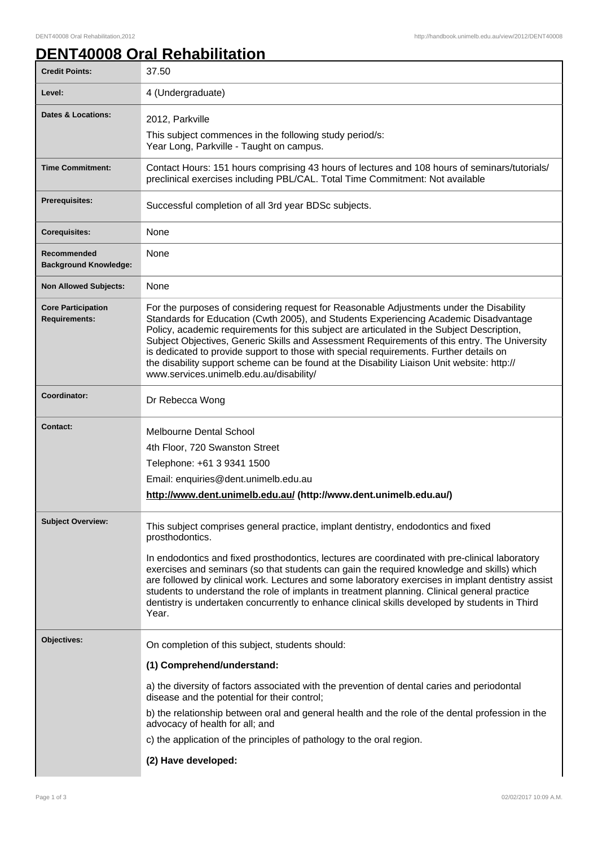## **DENT40008 Oral Rehabilitation**

| <b>Credit Points:</b>                             | 37.50                                                                                                                                                                                                                                                                                                                                                                                                                                                                                                                                                                                                            |
|---------------------------------------------------|------------------------------------------------------------------------------------------------------------------------------------------------------------------------------------------------------------------------------------------------------------------------------------------------------------------------------------------------------------------------------------------------------------------------------------------------------------------------------------------------------------------------------------------------------------------------------------------------------------------|
| Level:                                            | 4 (Undergraduate)                                                                                                                                                                                                                                                                                                                                                                                                                                                                                                                                                                                                |
| Dates & Locations:                                | 2012, Parkville                                                                                                                                                                                                                                                                                                                                                                                                                                                                                                                                                                                                  |
|                                                   | This subject commences in the following study period/s:                                                                                                                                                                                                                                                                                                                                                                                                                                                                                                                                                          |
|                                                   | Year Long, Parkville - Taught on campus.                                                                                                                                                                                                                                                                                                                                                                                                                                                                                                                                                                         |
| <b>Time Commitment:</b>                           | Contact Hours: 151 hours comprising 43 hours of lectures and 108 hours of seminars/tutorials/<br>preclinical exercises including PBL/CAL. Total Time Commitment: Not available                                                                                                                                                                                                                                                                                                                                                                                                                                   |
| <b>Prerequisites:</b>                             | Successful completion of all 3rd year BDSc subjects.                                                                                                                                                                                                                                                                                                                                                                                                                                                                                                                                                             |
| <b>Corequisites:</b>                              | None                                                                                                                                                                                                                                                                                                                                                                                                                                                                                                                                                                                                             |
| Recommended<br><b>Background Knowledge:</b>       | None                                                                                                                                                                                                                                                                                                                                                                                                                                                                                                                                                                                                             |
| <b>Non Allowed Subjects:</b>                      | None                                                                                                                                                                                                                                                                                                                                                                                                                                                                                                                                                                                                             |
| <b>Core Participation</b><br><b>Requirements:</b> | For the purposes of considering request for Reasonable Adjustments under the Disability<br>Standards for Education (Cwth 2005), and Students Experiencing Academic Disadvantage<br>Policy, academic requirements for this subject are articulated in the Subject Description,<br>Subject Objectives, Generic Skills and Assessment Requirements of this entry. The University<br>is dedicated to provide support to those with special requirements. Further details on<br>the disability support scheme can be found at the Disability Liaison Unit website: http://<br>www.services.unimelb.edu.au/disability/ |
| Coordinator:                                      | Dr Rebecca Wong                                                                                                                                                                                                                                                                                                                                                                                                                                                                                                                                                                                                  |
| Contact:                                          | <b>Melbourne Dental School</b>                                                                                                                                                                                                                                                                                                                                                                                                                                                                                                                                                                                   |
|                                                   | 4th Floor, 720 Swanston Street                                                                                                                                                                                                                                                                                                                                                                                                                                                                                                                                                                                   |
|                                                   | Telephone: +61 3 9341 1500                                                                                                                                                                                                                                                                                                                                                                                                                                                                                                                                                                                       |
|                                                   | Email: enquiries@dent.unimelb.edu.au                                                                                                                                                                                                                                                                                                                                                                                                                                                                                                                                                                             |
|                                                   | http://www.dent.unimelb.edu.au/ (http://www.dent.unimelb.edu.au/)                                                                                                                                                                                                                                                                                                                                                                                                                                                                                                                                                |
| <b>Subject Overview:</b>                          | This subject comprises general practice, implant dentistry, endodontics and fixed<br>prosthodontics.                                                                                                                                                                                                                                                                                                                                                                                                                                                                                                             |
|                                                   | In endodontics and fixed prosthodontics, lectures are coordinated with pre-clinical laboratory<br>exercises and seminars (so that students can gain the required knowledge and skills) which<br>are followed by clinical work. Lectures and some laboratory exercises in implant dentistry assist<br>students to understand the role of implants in treatment planning. Clinical general practice<br>dentistry is undertaken concurrently to enhance clinical skills developed by students in Third<br>Year.                                                                                                     |
| Objectives:                                       | On completion of this subject, students should:                                                                                                                                                                                                                                                                                                                                                                                                                                                                                                                                                                  |
|                                                   | (1) Comprehend/understand:                                                                                                                                                                                                                                                                                                                                                                                                                                                                                                                                                                                       |
|                                                   | a) the diversity of factors associated with the prevention of dental caries and periodontal<br>disease and the potential for their control;                                                                                                                                                                                                                                                                                                                                                                                                                                                                      |
|                                                   | b) the relationship between oral and general health and the role of the dental profession in the<br>advocacy of health for all; and                                                                                                                                                                                                                                                                                                                                                                                                                                                                              |
|                                                   | c) the application of the principles of pathology to the oral region.                                                                                                                                                                                                                                                                                                                                                                                                                                                                                                                                            |
|                                                   | (2) Have developed:                                                                                                                                                                                                                                                                                                                                                                                                                                                                                                                                                                                              |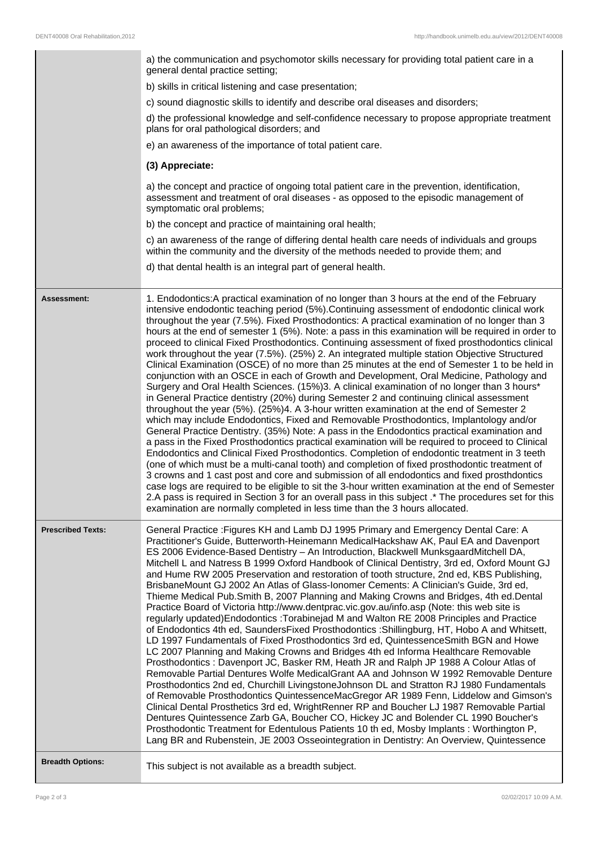|                          | a) the communication and psychomotor skills necessary for providing total patient care in a<br>general dental practice setting;                                                                                                                                                                                                                                                                                                                                                                                                                                                                                                                                                                                                                                                                                                                                                                                                                                                                                                                                                                                                                                                                                                                                                                                                                                                                                                                                                                                                                                                                                                                                                                                                                                                                                                                                                                                                                                                       |
|--------------------------|---------------------------------------------------------------------------------------------------------------------------------------------------------------------------------------------------------------------------------------------------------------------------------------------------------------------------------------------------------------------------------------------------------------------------------------------------------------------------------------------------------------------------------------------------------------------------------------------------------------------------------------------------------------------------------------------------------------------------------------------------------------------------------------------------------------------------------------------------------------------------------------------------------------------------------------------------------------------------------------------------------------------------------------------------------------------------------------------------------------------------------------------------------------------------------------------------------------------------------------------------------------------------------------------------------------------------------------------------------------------------------------------------------------------------------------------------------------------------------------------------------------------------------------------------------------------------------------------------------------------------------------------------------------------------------------------------------------------------------------------------------------------------------------------------------------------------------------------------------------------------------------------------------------------------------------------------------------------------------------|
|                          | b) skills in critical listening and case presentation;                                                                                                                                                                                                                                                                                                                                                                                                                                                                                                                                                                                                                                                                                                                                                                                                                                                                                                                                                                                                                                                                                                                                                                                                                                                                                                                                                                                                                                                                                                                                                                                                                                                                                                                                                                                                                                                                                                                                |
|                          | c) sound diagnostic skills to identify and describe oral diseases and disorders;                                                                                                                                                                                                                                                                                                                                                                                                                                                                                                                                                                                                                                                                                                                                                                                                                                                                                                                                                                                                                                                                                                                                                                                                                                                                                                                                                                                                                                                                                                                                                                                                                                                                                                                                                                                                                                                                                                      |
|                          | d) the professional knowledge and self-confidence necessary to propose appropriate treatment<br>plans for oral pathological disorders; and                                                                                                                                                                                                                                                                                                                                                                                                                                                                                                                                                                                                                                                                                                                                                                                                                                                                                                                                                                                                                                                                                                                                                                                                                                                                                                                                                                                                                                                                                                                                                                                                                                                                                                                                                                                                                                            |
|                          | e) an awareness of the importance of total patient care.                                                                                                                                                                                                                                                                                                                                                                                                                                                                                                                                                                                                                                                                                                                                                                                                                                                                                                                                                                                                                                                                                                                                                                                                                                                                                                                                                                                                                                                                                                                                                                                                                                                                                                                                                                                                                                                                                                                              |
|                          | (3) Appreciate:                                                                                                                                                                                                                                                                                                                                                                                                                                                                                                                                                                                                                                                                                                                                                                                                                                                                                                                                                                                                                                                                                                                                                                                                                                                                                                                                                                                                                                                                                                                                                                                                                                                                                                                                                                                                                                                                                                                                                                       |
|                          | a) the concept and practice of ongoing total patient care in the prevention, identification,<br>assessment and treatment of oral diseases - as opposed to the episodic management of<br>symptomatic oral problems;                                                                                                                                                                                                                                                                                                                                                                                                                                                                                                                                                                                                                                                                                                                                                                                                                                                                                                                                                                                                                                                                                                                                                                                                                                                                                                                                                                                                                                                                                                                                                                                                                                                                                                                                                                    |
|                          | b) the concept and practice of maintaining oral health;                                                                                                                                                                                                                                                                                                                                                                                                                                                                                                                                                                                                                                                                                                                                                                                                                                                                                                                                                                                                                                                                                                                                                                                                                                                                                                                                                                                                                                                                                                                                                                                                                                                                                                                                                                                                                                                                                                                               |
|                          | c) an awareness of the range of differing dental health care needs of individuals and groups<br>within the community and the diversity of the methods needed to provide them; and                                                                                                                                                                                                                                                                                                                                                                                                                                                                                                                                                                                                                                                                                                                                                                                                                                                                                                                                                                                                                                                                                                                                                                                                                                                                                                                                                                                                                                                                                                                                                                                                                                                                                                                                                                                                     |
|                          | d) that dental health is an integral part of general health.                                                                                                                                                                                                                                                                                                                                                                                                                                                                                                                                                                                                                                                                                                                                                                                                                                                                                                                                                                                                                                                                                                                                                                                                                                                                                                                                                                                                                                                                                                                                                                                                                                                                                                                                                                                                                                                                                                                          |
| Assessment:              | 1. Endodontics: A practical examination of no longer than 3 hours at the end of the February<br>intensive endodontic teaching period (5%). Continuing assessment of endodontic clinical work<br>throughout the year (7.5%). Fixed Prosthodontics: A practical examination of no longer than 3<br>hours at the end of semester 1 (5%). Note: a pass in this examination will be required in order to<br>proceed to clinical Fixed Prosthodontics. Continuing assessment of fixed prosthodontics clinical<br>work throughout the year (7.5%). (25%) 2. An integrated multiple station Objective Structured<br>Clinical Examination (OSCE) of no more than 25 minutes at the end of Semester 1 to be held in<br>conjunction with an OSCE in each of Growth and Development, Oral Medicine, Pathology and<br>Surgery and Oral Health Sciences. (15%)3. A clinical examination of no longer than 3 hours*<br>in General Practice dentistry (20%) during Semester 2 and continuing clinical assessment<br>throughout the year (5%). (25%)4. A 3-hour written examination at the end of Semester 2<br>which may include Endodontics, Fixed and Removable Prosthodontics, Implantology and/or<br>General Practice Dentistry. (35%) Note: A pass in the Endodontics practical examination and<br>a pass in the Fixed Prosthodontics practical examination will be required to proceed to Clinical<br>Endodontics and Clinical Fixed Prosthodontics. Completion of endodontic treatment in 3 teeth<br>(one of which must be a multi-canal tooth) and completion of fixed prosthodontic treatment of<br>3 crowns and 1 cast post and core and submission of all endodontics and fixed prosthdontics<br>case logs are required to be eligible to sit the 3-hour written examination at the end of Semester<br>2.A pass is required in Section 3 for an overall pass in this subject .* The procedures set for this<br>examination are normally completed in less time than the 3 hours allocated. |
| <b>Prescribed Texts:</b> | General Practice : Figures KH and Lamb DJ 1995 Primary and Emergency Dental Care: A<br>Practitioner's Guide, Butterworth-Heinemann MedicalHackshaw AK, Paul EA and Davenport<br>ES 2006 Evidence-Based Dentistry - An Introduction, Blackwell MunksgaardMitchell DA,<br>Mitchell L and Natress B 1999 Oxford Handbook of Clinical Dentistry, 3rd ed, Oxford Mount GJ<br>and Hume RW 2005 Preservation and restoration of tooth structure, 2nd ed, KBS Publishing,<br>BrisbaneMount GJ 2002 An Atlas of Glass-Ionomer Cements: A Clinician's Guide, 3rd ed,<br>Thieme Medical Pub.Smith B, 2007 Planning and Making Crowns and Bridges, 4th ed.Dental<br>Practice Board of Victoria http://www.dentprac.vic.gov.au/info.asp (Note: this web site is<br>regularly updated)Endodontics: Torabinejad M and Walton RE 2008 Principles and Practice<br>of Endodontics 4th ed, SaundersFixed Prosthodontics : Shillingburg, HT, Hobo A and Whitsett,<br>LD 1997 Fundamentals of Fixed Prosthodontics 3rd ed, QuintessenceSmith BGN and Howe<br>LC 2007 Planning and Making Crowns and Bridges 4th ed Informa Healthcare Removable<br>Prosthodontics : Davenport JC, Basker RM, Heath JR and Ralph JP 1988 A Colour Atlas of<br>Removable Partial Dentures Wolfe MedicalGrant AA and Johnson W 1992 Removable Denture<br>Prosthodontics 2nd ed, Churchill LivingstoneJohnson DL and Stratton RJ 1980 Fundamentals<br>of Removable Prosthodontics QuintessenceMacGregor AR 1989 Fenn, Liddelow and Gimson's<br>Clinical Dental Prosthetics 3rd ed, WrightRenner RP and Boucher LJ 1987 Removable Partial<br>Dentures Quintessence Zarb GA, Boucher CO, Hickey JC and Bolender CL 1990 Boucher's<br>Prosthodontic Treatment for Edentulous Patients 10 th ed, Mosby Implants : Worthington P,<br>Lang BR and Rubenstein, JE 2003 Osseointegration in Dentistry: An Overview, Quintessence                                                                                                       |
| <b>Breadth Options:</b>  | This subject is not available as a breadth subject.                                                                                                                                                                                                                                                                                                                                                                                                                                                                                                                                                                                                                                                                                                                                                                                                                                                                                                                                                                                                                                                                                                                                                                                                                                                                                                                                                                                                                                                                                                                                                                                                                                                                                                                                                                                                                                                                                                                                   |
|                          |                                                                                                                                                                                                                                                                                                                                                                                                                                                                                                                                                                                                                                                                                                                                                                                                                                                                                                                                                                                                                                                                                                                                                                                                                                                                                                                                                                                                                                                                                                                                                                                                                                                                                                                                                                                                                                                                                                                                                                                       |